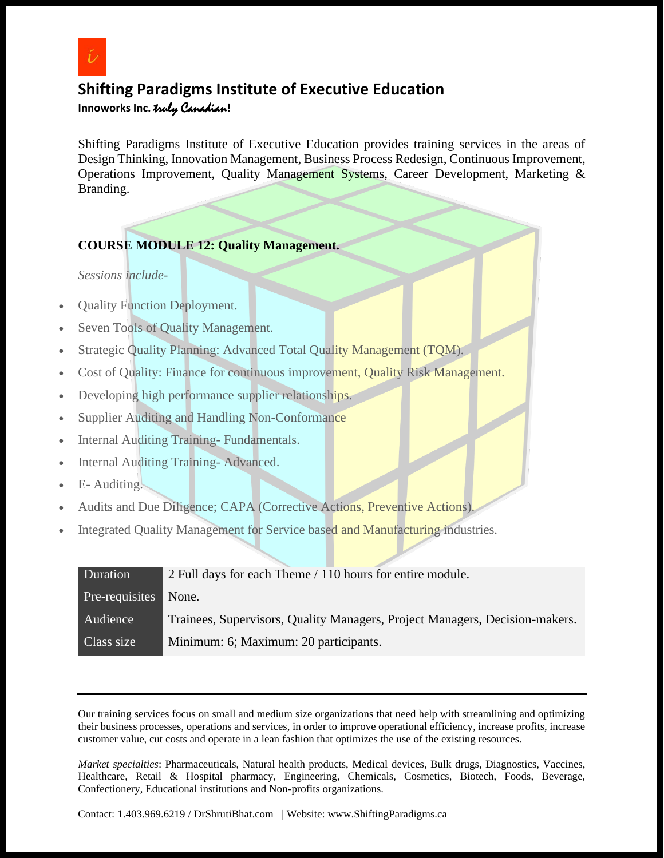

# **Shifting Paradigms Institute of Executive Education**

**Innoworks Inc.** truly Canadian**!**

Shifting Paradigms Institute of Executive Education provides training services in the areas of Design Thinking, Innovation Management, Business Process Redesign, Continuous Improvement, Operations Improvement, Quality Management Systems, Career Development, Marketing & Branding.

#### **COURSE MODULE 12: Quality Management.**

*Sessions include-*

- Quality Function Deployment.
- Seven Tools of Quality Management.
- Strategic Quality Planning: Advanced Total Quality Management (TQM).
- Cost of Quality: Finance for continuous improvement, Quality Risk Management.
- Developing high performance supplier relationships.
- Supplier Auditing and Handling Non-Conformance
- Internal Auditing Training- Fundamentals.
- Internal Auditing Training- Advanced.
- E- Auditing.
- Audits and Due Diligence; CAPA (Corrective Actions, Preventive Actions).
- Integrated Quality Management for Service based and Manufacturing industries.

| Duration       | 2 Full days for each Theme / 110 hours for entire module.                   |
|----------------|-----------------------------------------------------------------------------|
| Pre-requisites | None.                                                                       |
| Audience       | Trainees, Supervisors, Quality Managers, Project Managers, Decision-makers. |
| Class size     | Minimum: 6; Maximum: 20 participants.                                       |

Our training services focus on small and medium size organizations that need help with streamlining and optimizing their business processes, operations and services, in order to improve operational efficiency, increase profits, increase customer value, cut costs and operate in a lean fashion that optimizes the use of the existing resources.

*Market specialties*: Pharmaceuticals, Natural health products, Medical devices, Bulk drugs, Diagnostics, Vaccines, Healthcare, Retail & Hospital pharmacy, Engineering, Chemicals, Cosmetics, Biotech, Foods, Beverage, Confectionery, Educational institutions and Non-profits organizations.